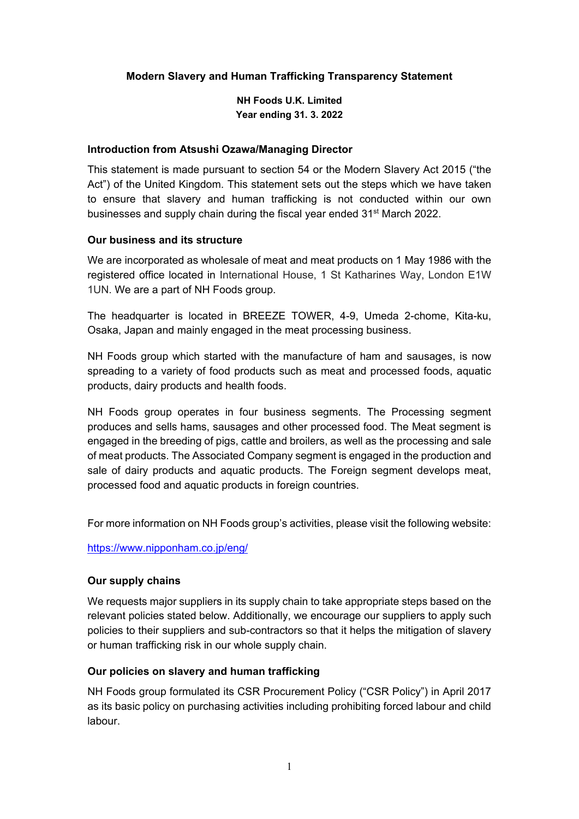## **Modern Slavery and Human Trafficking Transparency Statement**

**NH Foods U.K. Limited Year ending 31. 3. 2022** 

#### **Introduction from Atsushi Ozawa/Managing Director**

This statement is made pursuant to section 54 or the Modern Slavery Act 2015 ("the Act") of the United Kingdom. This statement sets out the steps which we have taken to ensure that slavery and human trafficking is not conducted within our own businesses and supply chain during the fiscal year ended 31<sup>st</sup> March 2022.

#### **Our business and its structure**

We are incorporated as wholesale of meat and meat products on 1 May 1986 with the registered office located in International House, 1 St Katharines Way, London E1W 1UN. We are a part of NH Foods group.

The headquarter is located in BREEZE TOWER, 4-9, Umeda 2-chome, Kita-ku, Osaka, Japan and mainly engaged in the meat processing business.

NH Foods group which started with the manufacture of ham and sausages, is now spreading to a variety of food products such as meat and processed foods, aquatic products, dairy products and health foods.

NH Foods group operates in four business segments. The Processing segment produces and sells hams, sausages and other processed food. The Meat segment is engaged in the breeding of pigs, cattle and broilers, as well as the processing and sale of meat products. The Associated Company segment is engaged in the production and sale of dairy products and aquatic products. The Foreign segment develops meat, processed food and aquatic products in foreign countries.

For more information on NH Foods group's activities, please visit the following website:

https://www.nipponham.co.jp/eng/

## **Our supply chains**

We requests major suppliers in its supply chain to take appropriate steps based on the relevant policies stated below. Additionally, we encourage our suppliers to apply such policies to their suppliers and sub-contractors so that it helps the mitigation of slavery or human trafficking risk in our whole supply chain.

## **Our policies on slavery and human trafficking**

NH Foods group formulated its CSR Procurement Policy ("CSR Policy") in April 2017 as its basic policy on purchasing activities including prohibiting forced labour and child labour.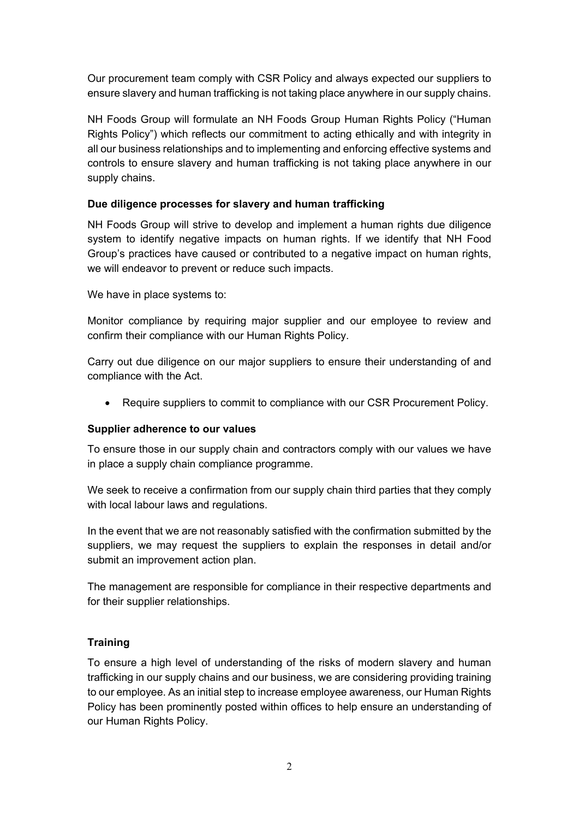Our procurement team comply with CSR Policy and always expected our suppliers to ensure slavery and human trafficking is not taking place anywhere in our supply chains.

NH Foods Group will formulate an NH Foods Group Human Rights Policy ("Human Rights Policy") which reflects our commitment to acting ethically and with integrity in all our business relationships and to implementing and enforcing effective systems and controls to ensure slavery and human trafficking is not taking place anywhere in our supply chains.

## **Due diligence processes for slavery and human trafficking**

NH Foods Group will strive to develop and implement a human rights due diligence system to identify negative impacts on human rights. If we identify that NH Food Group's practices have caused or contributed to a negative impact on human rights, we will endeavor to prevent or reduce such impacts.

We have in place systems to:

Monitor compliance by requiring major supplier and our employee to review and confirm their compliance with our Human Rights Policy.

Carry out due diligence on our major suppliers to ensure their understanding of and compliance with the Act.

Require suppliers to commit to compliance with our CSR Procurement Policy.

## **Supplier adherence to our values**

To ensure those in our supply chain and contractors comply with our values we have in place a supply chain compliance programme.

We seek to receive a confirmation from our supply chain third parties that they comply with local labour laws and regulations.

In the event that we are not reasonably satisfied with the confirmation submitted by the suppliers, we may request the suppliers to explain the responses in detail and/or submit an improvement action plan.

The management are responsible for compliance in their respective departments and for their supplier relationships.

# **Training**

To ensure a high level of understanding of the risks of modern slavery and human trafficking in our supply chains and our business, we are considering providing training to our employee. As an initial step to increase employee awareness, our Human Rights Policy has been prominently posted within offices to help ensure an understanding of our Human Rights Policy.